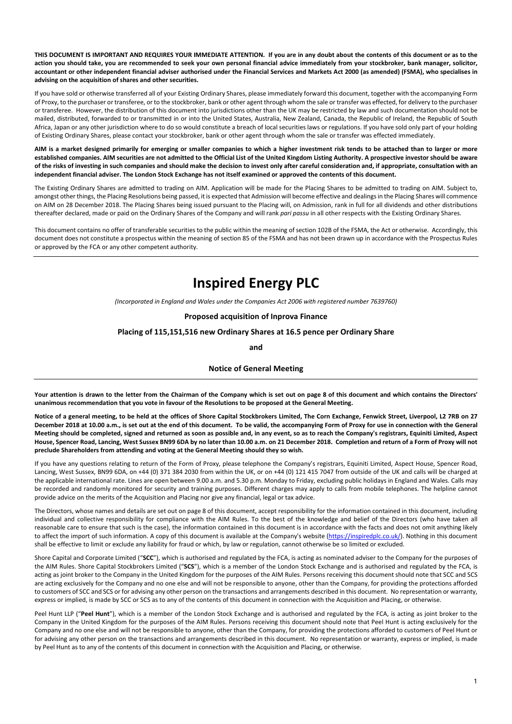THIS DOCUMENT IS IMPORTANT AND REQUIRES YOUR IMMEDIATE ATTENTION. If you are in any doubt about the contents of this document or as to the action you should take, you are recommended to seek your own personal financial advice immediately from your stockbroker, bank manager, solicitor, accountant or other independent financial adviser authorised under the Financial Services and Markets Act 2000 (as amended) (FSMA), who specialises in advising on the acquisition of shares and other securities.

If you have sold or otherwise transferred all of your Existing Ordinary Shares, please immediately forward this document, together with the accompanying Form of Proxy, to the purchaser or transferee, or to the stockbroker, bank or other agent through whom the sale or transfer was effected, for delivery to the purchaser or transferee. However, the distribution of this document into jurisdictions other than the UK may be restricted by law and such documentation should not be mailed, distributed, forwarded to or transmitted in or into the United States, Australia, New Zealand, Canada, the Republic of Ireland, the Republic of South Africa, Japan or any other jurisdiction where to do so would constitute a breach of local securities laws or regulations. If you have sold only part of your holding of Existing Ordinary Shares, please contact your stockbroker, bank or other agent through whom the sale or transfer was effected immediately.

AIM is a market designed primarily for emerging or smaller companies to which a higher investment risk tends to be attached than to larger or more established companies. AIM securities are not admitted to the Official List of the United Kingdom Listing Authority. A prospective investor should be aware of the risks of investing in such companies and should make the decision to invest only after careful consideration and, if appropriate, consultation with an independent financial adviser. The London Stock Exchange has not itself examined or approved the contents of this document.

The Existing Ordinary Shares are admitted to trading on AIM. Application will be made for the Placing Shares to be admitted to trading on AIM. Subject to, amongst other things, the Placing Resolutions being passed, it is expected that Admission will become effective and dealings in the Placing Shares will commence on AIM on 28 December 2018. The Placing Shares being issued pursuant to the Placing will, on Admission, rank in full for all dividends and other distributions thereafter declared, made or paid on the Ordinary Shares of the Company and will rank pari passu in all other respects with the Existing Ordinary Shares.

This document contains no offer of transferable securities to the public within the meaning of section 102B of the FSMA, the Act or otherwise. Accordingly, this document does not constitute a prospectus within the meaning of section 85 of the FSMA and has not been drawn up in accordance with the Prospectus Rules or approved by the FCA or any other competent authority.

# Inspired Energy PLC

(Incorporated in England and Wales under the Companies Act 2006 with registered number 7639760)

Proposed acquisition of Inprova Finance

Placing of 115,151,516 new Ordinary Shares at 16.5 pence per Ordinary Share

and

#### Notice of General Meeting

Your attention is drawn to the letter from the Chairman of the Company which is set out on page 8 of this document and which contains the Directors' unanimous recommendation that you vote in favour of the Resolutions to be proposed at the General Meeting.

Notice of a general meeting, to be held at the offices of Shore Capital Stockbrokers Limited, The Corn Exchange, Fenwick Street, Liverpool, L2 7RB on 27 December 2018 at 10.00 a.m., is set out at the end of this document. To be valid, the accompanying Form of Proxy for use in connection with the General Meeting should be completed, signed and returned as soon as possible and, in any event, so as to reach the Company's registrars, Equiniti Limited, Aspect House, Spencer Road, Lancing, West Sussex BN99 6DA by no later than 10.00 a.m. on 21 December 2018. Completion and return of a Form of Proxy will not preclude Shareholders from attending and voting at the General Meeting should they so wish.

If you have any questions relating to return of the Form of Proxy, please telephone the Company's registrars, Equiniti Limited, Aspect House, Spencer Road, Lancing, West Sussex, BN99 6DA, on +44 (0) 371 384 2030 from within the UK, or on +44 (0) 121 415 7047 from outside of the UK and calls will be charged at the applicable international rate. Lines are open between 9.00 a.m. and 5.30 p.m. Monday to Friday, excluding public holidays in England and Wales. Calls may be recorded and randomly monitored for security and training purposes. Different charges may apply to calls from mobile telephones. The helpline cannot provide advice on the merits of the Acquisition and Placing nor give any financial, legal or tax advice.

The Directors, whose names and details are set out on page 8 of this document, accept responsibility for the information contained in this document, including individual and collective responsibility for compliance with the AIM Rules. To the best of the knowledge and belief of the Directors (who have taken all reasonable care to ensure that such is the case), the information contained in this document is in accordance with the facts and does not omit anything likely to affect the import of such information. A copy of this document is available at the Company's website (https://inspiredplc.co.uk/). Nothing in this document shall be effective to limit or exclude any liability for fraud or which, by law or regulation, cannot otherwise be so limited or excluded.

Shore Capital and Corporate Limited ("SCC"), which is authorised and regulated by the FCA, is acting as nominated adviser to the Company for the purposes of the AIM Rules. Shore Capital Stockbrokers Limited ("SCS"), which is a member of the London Stock Exchange and is authorised and regulated by the FCA, is acting as joint broker to the Company in the United Kingdom for the purposes of the AIM Rules. Persons receiving this document should note that SCC and SCS are acting exclusively for the Company and no one else and will not be responsible to anyone, other than the Company, for providing the protections afforded to customers of SCC and SCS or for advising any other person on the transactions and arrangements described in this document. No representation or warranty, express or implied, is made by SCC or SCS as to any of the contents of this document in connection with the Acquisition and Placing, or otherwise.

Peel Hunt LLP ("Peel Hunt"), which is a member of the London Stock Exchange and is authorised and regulated by the FCA, is acting as joint broker to the Company in the United Kingdom for the purposes of the AIM Rules. Persons receiving this document should note that Peel Hunt is acting exclusively for the Company and no one else and will not be responsible to anyone, other than the Company, for providing the protections afforded to customers of Peel Hunt or for advising any other person on the transactions and arrangements described in this document. No representation or warranty, express or implied, is made by Peel Hunt as to any of the contents of this document in connection with the Acquisition and Placing, or otherwise.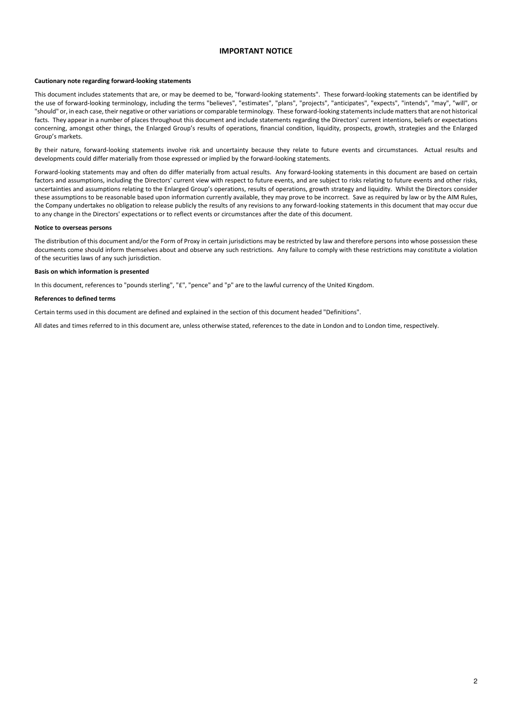#### IMPORTANT NOTICE

#### Cautionary note regarding forward-looking statements

This document includes statements that are, or may be deemed to be, "forward-looking statements". These forward-looking statements can be identified by the use of forward-looking terminology, including the terms "believes", "estimates", "plans", "projects", "anticipates", "expects", "intends", "may", "will", or "should" or, in each case, their negative or other variations or comparable terminology. These forward-looking statements include matters that are not historical facts. They appear in a number of places throughout this document and include statements regarding the Directors' current intentions, beliefs or expectations concerning, amongst other things, the Enlarged Group's results of operations, financial condition, liquidity, prospects, growth, strategies and the Enlarged Group's markets.

By their nature, forward-looking statements involve risk and uncertainty because they relate to future events and circumstances. Actual results and developments could differ materially from those expressed or implied by the forward-looking statements.

Forward-looking statements may and often do differ materially from actual results. Any forward-looking statements in this document are based on certain factors and assumptions, including the Directors' current view with respect to future events, and are subject to risks relating to future events and other risks, uncertainties and assumptions relating to the Enlarged Group's operations, results of operations, growth strategy and liquidity. Whilst the Directors consider these assumptions to be reasonable based upon information currently available, they may prove to be incorrect. Save as required by law or by the AIM Rules, the Company undertakes no obligation to release publicly the results of any revisions to any forward-looking statements in this document that may occur due to any change in the Directors' expectations or to reflect events or circumstances after the date of this document.

#### Notice to overseas persons

The distribution of this document and/or the Form of Proxy in certain jurisdictions may be restricted by law and therefore persons into whose possession these documents come should inform themselves about and observe any such restrictions. Any failure to comply with these restrictions may constitute a violation of the securities laws of any such jurisdiction.

#### Basis on which information is presented

In this document, references to "pounds sterling", "£", "pence" and "p" are to the lawful currency of the United Kingdom.

#### References to defined terms

Certain terms used in this document are defined and explained in the section of this document headed "Definitions".

All dates and times referred to in this document are, unless otherwise stated, references to the date in London and to London time, respectively.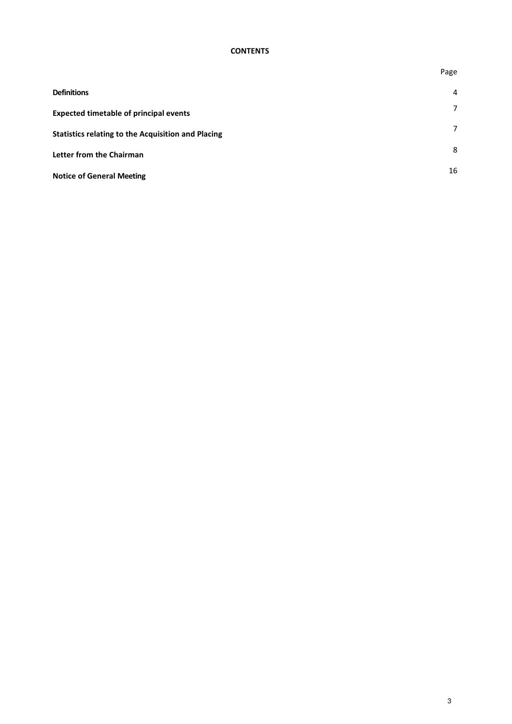#### **CONTENTS**

|                                                           | Page |
|-----------------------------------------------------------|------|
| <b>Definitions</b>                                        | 4    |
| <b>Expected timetable of principal events</b>             | 7    |
| <b>Statistics relating to the Acquisition and Placing</b> | 7    |
| Letter from the Chairman                                  | 8    |
| <b>Notice of General Meeting</b>                          | 16   |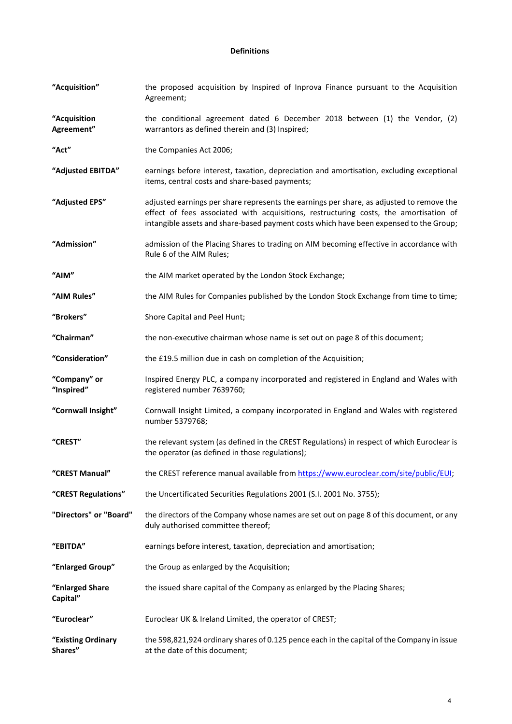# Definitions

| "Acquisition"                 | the proposed acquisition by Inspired of Inprova Finance pursuant to the Acquisition<br>Agreement;                                                                                                                                                                           |
|-------------------------------|-----------------------------------------------------------------------------------------------------------------------------------------------------------------------------------------------------------------------------------------------------------------------------|
| "Acquisition<br>Agreement"    | the conditional agreement dated 6 December 2018 between (1) the Vendor, (2)<br>warrantors as defined therein and (3) Inspired;                                                                                                                                              |
| "Act"                         | the Companies Act 2006;                                                                                                                                                                                                                                                     |
| "Adjusted EBITDA"             | earnings before interest, taxation, depreciation and amortisation, excluding exceptional<br>items, central costs and share-based payments;                                                                                                                                  |
| "Adjusted EPS"                | adjusted earnings per share represents the earnings per share, as adjusted to remove the<br>effect of fees associated with acquisitions, restructuring costs, the amortisation of<br>intangible assets and share-based payment costs which have been expensed to the Group; |
| "Admission"                   | admission of the Placing Shares to trading on AIM becoming effective in accordance with<br>Rule 6 of the AIM Rules;                                                                                                                                                         |
| "AIM"                         | the AIM market operated by the London Stock Exchange;                                                                                                                                                                                                                       |
| "AIM Rules"                   | the AIM Rules for Companies published by the London Stock Exchange from time to time;                                                                                                                                                                                       |
| "Brokers"                     | Shore Capital and Peel Hunt;                                                                                                                                                                                                                                                |
| "Chairman"                    | the non-executive chairman whose name is set out on page 8 of this document;                                                                                                                                                                                                |
| "Consideration"               | the £19.5 million due in cash on completion of the Acquisition;                                                                                                                                                                                                             |
| "Company" or<br>"Inspired"    | Inspired Energy PLC, a company incorporated and registered in England and Wales with<br>registered number 7639760;                                                                                                                                                          |
| "Cornwall Insight"            | Cornwall Insight Limited, a company incorporated in England and Wales with registered<br>number 5379768;                                                                                                                                                                    |
| "CREST"                       | the relevant system (as defined in the CREST Regulations) in respect of which Euroclear is<br>the operator (as defined in those regulations);                                                                                                                               |
| "CREST Manual"                | the CREST reference manual available from https://www.euroclear.com/site/public/EUI;                                                                                                                                                                                        |
| "CREST Regulations"           | the Uncertificated Securities Regulations 2001 (S.I. 2001 No. 3755);                                                                                                                                                                                                        |
| "Directors" or "Board"        | the directors of the Company whose names are set out on page 8 of this document, or any<br>duly authorised committee thereof;                                                                                                                                               |
| "EBITDA"                      | earnings before interest, taxation, depreciation and amortisation;                                                                                                                                                                                                          |
| "Enlarged Group"              | the Group as enlarged by the Acquisition;                                                                                                                                                                                                                                   |
| "Enlarged Share<br>Capital"   | the issued share capital of the Company as enlarged by the Placing Shares;                                                                                                                                                                                                  |
| "Euroclear"                   | Euroclear UK & Ireland Limited, the operator of CREST;                                                                                                                                                                                                                      |
| "Existing Ordinary<br>Shares" | the 598,821,924 ordinary shares of 0.125 pence each in the capital of the Company in issue<br>at the date of this document;                                                                                                                                                 |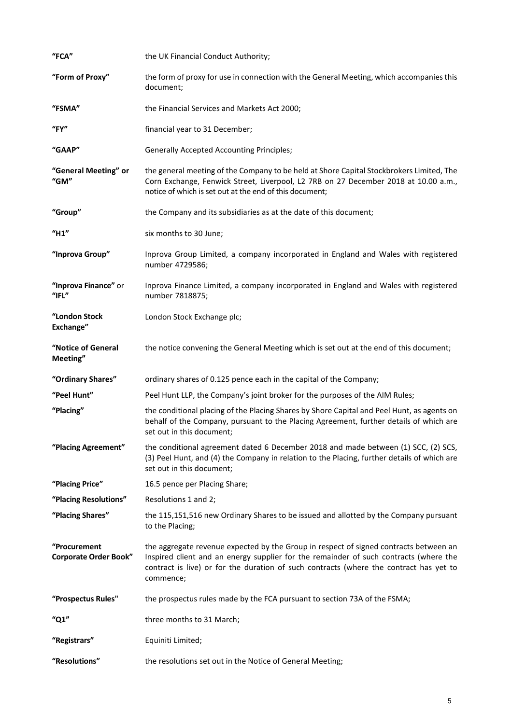| "FCA"                                        | the UK Financial Conduct Authority;                                                                                                                                                                                                                                                   |
|----------------------------------------------|---------------------------------------------------------------------------------------------------------------------------------------------------------------------------------------------------------------------------------------------------------------------------------------|
| "Form of Proxy"                              | the form of proxy for use in connection with the General Meeting, which accompanies this<br>document;                                                                                                                                                                                 |
| "FSMA"                                       | the Financial Services and Markets Act 2000;                                                                                                                                                                                                                                          |
| $"$ FY"                                      | financial year to 31 December;                                                                                                                                                                                                                                                        |
| "GAAP"                                       | <b>Generally Accepted Accounting Principles;</b>                                                                                                                                                                                                                                      |
| "General Meeting" or<br>"GM"                 | the general meeting of the Company to be held at Shore Capital Stockbrokers Limited, The<br>Corn Exchange, Fenwick Street, Liverpool, L2 7RB on 27 December 2018 at 10.00 a.m.,<br>notice of which is set out at the end of this document;                                            |
| "Group"                                      | the Company and its subsidiaries as at the date of this document;                                                                                                                                                                                                                     |
| "H1"                                         | six months to 30 June;                                                                                                                                                                                                                                                                |
| "Inprova Group"                              | Inprova Group Limited, a company incorporated in England and Wales with registered<br>number 4729586;                                                                                                                                                                                 |
| "Inprova Finance" or<br>"IFL"                | Inprova Finance Limited, a company incorporated in England and Wales with registered<br>number 7818875;                                                                                                                                                                               |
| "London Stock<br>Exchange"                   | London Stock Exchange plc;                                                                                                                                                                                                                                                            |
| "Notice of General<br>Meeting"               | the notice convening the General Meeting which is set out at the end of this document;                                                                                                                                                                                                |
| "Ordinary Shares"                            | ordinary shares of 0.125 pence each in the capital of the Company;                                                                                                                                                                                                                    |
| "Peel Hunt"                                  | Peel Hunt LLP, the Company's joint broker for the purposes of the AIM Rules;                                                                                                                                                                                                          |
| "Placing"                                    | the conditional placing of the Placing Shares by Shore Capital and Peel Hunt, as agents on<br>behalf of the Company, pursuant to the Placing Agreement, further details of which are<br>set out in this document;                                                                     |
| "Placing Agreement"                          | the conditional agreement dated 6 December 2018 and made between (1) SCC, (2) SCS,<br>(3) Peel Hunt, and (4) the Company in relation to the Placing, further details of which are<br>set out in this document;                                                                        |
| "Placing Price"                              | 16.5 pence per Placing Share;                                                                                                                                                                                                                                                         |
| "Placing Resolutions"                        | Resolutions 1 and 2;                                                                                                                                                                                                                                                                  |
| "Placing Shares"                             | the 115,151,516 new Ordinary Shares to be issued and allotted by the Company pursuant<br>to the Placing;                                                                                                                                                                              |
| "Procurement<br><b>Corporate Order Book"</b> | the aggregate revenue expected by the Group in respect of signed contracts between an<br>Inspired client and an energy supplier for the remainder of such contracts (where the<br>contract is live) or for the duration of such contracts (where the contract has yet to<br>commence; |
| "Prospectus Rules"                           |                                                                                                                                                                                                                                                                                       |
|                                              | the prospectus rules made by the FCA pursuant to section 73A of the FSMA;                                                                                                                                                                                                             |
| "Q1"                                         | three months to 31 March;                                                                                                                                                                                                                                                             |
| "Registrars"                                 | Equiniti Limited;                                                                                                                                                                                                                                                                     |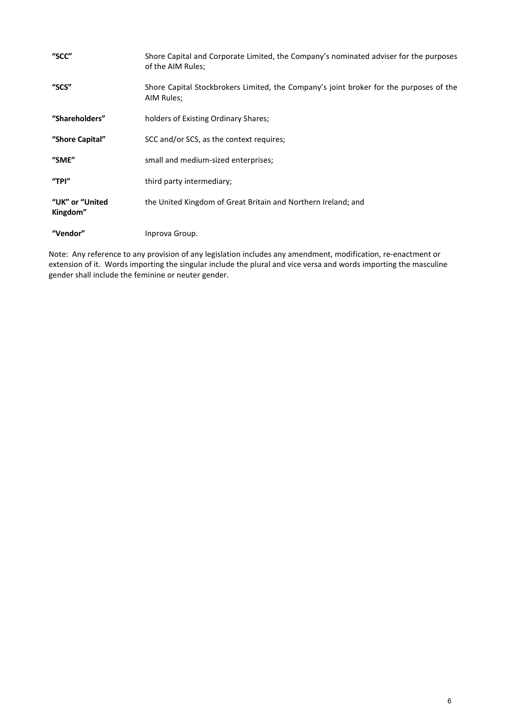| "SCC"                       | Shore Capital and Corporate Limited, the Company's nominated adviser for the purposes<br>of the AIM Rules; |
|-----------------------------|------------------------------------------------------------------------------------------------------------|
| "SCS"                       | Shore Capital Stockbrokers Limited, the Company's joint broker for the purposes of the<br>AIM Rules;       |
| "Shareholders"              | holders of Existing Ordinary Shares;                                                                       |
| "Shore Capital"             | SCC and/or SCS, as the context requires;                                                                   |
| "SME"                       | small and medium-sized enterprises;                                                                        |
| "TPI $"$                    | third party intermediary;                                                                                  |
| "UK" or "United<br>Kingdom" | the United Kingdom of Great Britain and Northern Ireland; and                                              |
| "Vendor"                    | Inprova Group.                                                                                             |

Note: Any reference to any provision of any legislation includes any amendment, modification, re-enactment or extension of it. Words importing the singular include the plural and vice versa and words importing the masculine gender shall include the feminine or neuter gender.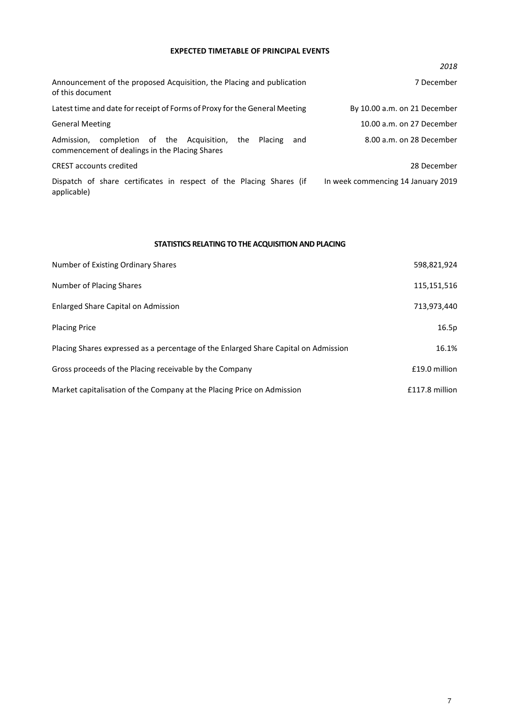#### EXPECTED TIMETABLE OF PRINCIPAL EVENTS

|                                                                                                                         | 2018                               |
|-------------------------------------------------------------------------------------------------------------------------|------------------------------------|
| Announcement of the proposed Acquisition, the Placing and publication<br>of this document                               | 7 December                         |
| Latest time and date for receipt of Forms of Proxy for the General Meeting                                              | By 10.00 a.m. on 21 December       |
| <b>General Meeting</b>                                                                                                  | 10.00 a.m. on 27 December          |
| completion of the Acquisition,<br>Admission,<br>the<br>Placing<br>and<br>commencement of dealings in the Placing Shares | 8.00 a.m. on 28 December           |
| <b>CREST</b> accounts credited                                                                                          | 28 December                        |
| Dispatch of share certificates in respect of the Placing Shares (if<br>applicable)                                      | In week commencing 14 January 2019 |

# STATISTICS RELATING TO THE ACQUISITION AND PLACING

| Number of Existing Ordinary Shares                                                  | 598,821,924    |
|-------------------------------------------------------------------------------------|----------------|
| Number of Placing Shares                                                            | 115,151,516    |
| Enlarged Share Capital on Admission                                                 | 713,973,440    |
| <b>Placing Price</b>                                                                | 16.5p          |
| Placing Shares expressed as a percentage of the Enlarged Share Capital on Admission | 16.1%          |
| Gross proceeds of the Placing receivable by the Company                             | £19.0 million  |
| Market capitalisation of the Company at the Placing Price on Admission              | £117.8 million |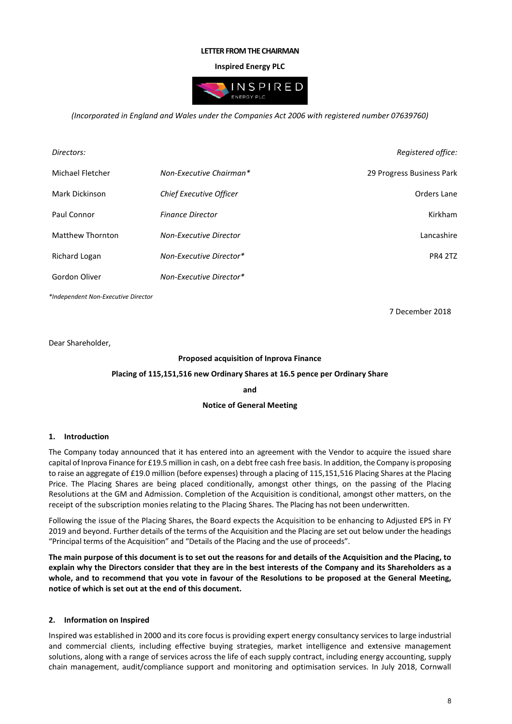#### LETTER FROM THE CHAIRMAN

## Inspired Energy PLC



(Incorporated in England and Wales under the Companies Act 2006 with registered number 07639760)

| Directors:              |                               | Registered office:        |
|-------------------------|-------------------------------|---------------------------|
| Michael Fletcher        | Non-Executive Chairman*       | 29 Progress Business Park |
| Mark Dickinson          | Chief Executive Officer       | Orders Lane               |
| Paul Connor             | <b>Finance Director</b>       | Kirkham                   |
| <b>Matthew Thornton</b> | <b>Non-Executive Director</b> | Lancashire                |
| <b>Richard Logan</b>    | Non-Executive Director*       | <b>PR4 2TZ</b>            |
| Gordon Oliver           | Non-Executive Director*       |                           |

\*Independent Non-Executive Director

7 December 2018

Dear Shareholder,

#### Proposed acquisition of Inprova Finance

#### Placing of 115,151,516 new Ordinary Shares at 16.5 pence per Ordinary Share

and

#### Notice of General Meeting

#### 1. Introduction

The Company today announced that it has entered into an agreement with the Vendor to acquire the issued share capital of Inprova Finance for £19.5 million in cash, on a debt free cash free basis. In addition, the Company is proposing to raise an aggregate of £19.0 million (before expenses) through a placing of 115,151,516 Placing Shares at the Placing Price. The Placing Shares are being placed conditionally, amongst other things, on the passing of the Placing Resolutions at the GM and Admission. Completion of the Acquisition is conditional, amongst other matters, on the receipt of the subscription monies relating to the Placing Shares. The Placing has not been underwritten.

Following the issue of the Placing Shares, the Board expects the Acquisition to be enhancing to Adjusted EPS in FY 2019 and beyond. Further details of the terms of the Acquisition and the Placing are set out below under the headings "Principal terms of the Acquisition" and "Details of the Placing and the use of proceeds".

The main purpose of this document is to set out the reasons for and details of the Acquisition and the Placing, to explain why the Directors consider that they are in the best interests of the Company and its Shareholders as a whole, and to recommend that you vote in favour of the Resolutions to be proposed at the General Meeting, notice of which is set out at the end of this document.

#### 2. Information on Inspired

Inspired was established in 2000 and its core focus is providing expert energy consultancy services to large industrial and commercial clients, including effective buying strategies, market intelligence and extensive management solutions, along with a range of services across the life of each supply contract, including energy accounting, supply chain management, audit/compliance support and monitoring and optimisation services. In July 2018, Cornwall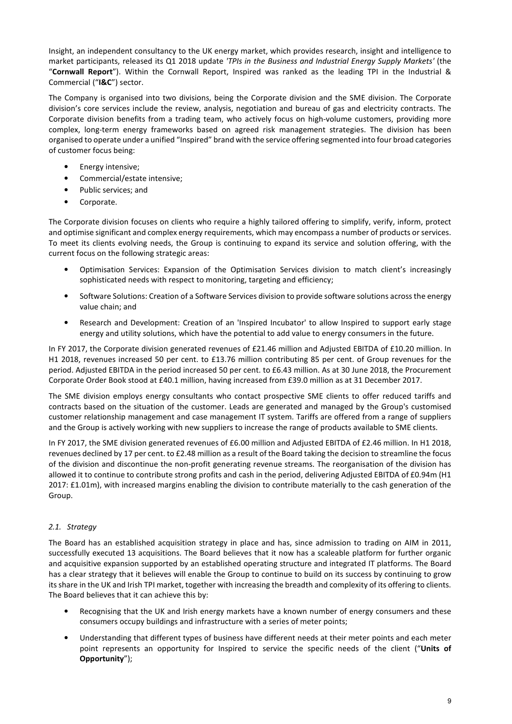Insight, an independent consultancy to the UK energy market, which provides research, insight and intelligence to market participants, released its Q1 2018 update 'TPIs in the Business and Industrial Energy Supply Markets' (the "Cornwall Report"). Within the Cornwall Report, Inspired was ranked as the leading TPI in the Industrial & Commercial ("I&C") sector.

The Company is organised into two divisions, being the Corporate division and the SME division. The Corporate division's core services include the review, analysis, negotiation and bureau of gas and electricity contracts. The Corporate division benefits from a trading team, who actively focus on high-volume customers, providing more complex, long-term energy frameworks based on agreed risk management strategies. The division has been organised to operate under a unified "Inspired" brand with the service offering segmented into four broad categories of customer focus being:

- Energy intensive;
- Commercial/estate intensive;
- Public services; and
- Corporate.

The Corporate division focuses on clients who require a highly tailored offering to simplify, verify, inform, protect and optimise significant and complex energy requirements, which may encompass a number of products or services. To meet its clients evolving needs, the Group is continuing to expand its service and solution offering, with the current focus on the following strategic areas:

- Optimisation Services: Expansion of the Optimisation Services division to match client's increasingly sophisticated needs with respect to monitoring, targeting and efficiency;
- Software Solutions: Creation of a Software Services division to provide software solutions across the energy value chain; and
- Research and Development: Creation of an 'Inspired Incubator' to allow Inspired to support early stage energy and utility solutions, which have the potential to add value to energy consumers in the future.

In FY 2017, the Corporate division generated revenues of £21.46 million and Adjusted EBITDA of £10.20 million. In H1 2018, revenues increased 50 per cent. to £13.76 million contributing 85 per cent. of Group revenues for the period. Adjusted EBITDA in the period increased 50 per cent. to £6.43 million. As at 30 June 2018, the Procurement Corporate Order Book stood at £40.1 million, having increased from £39.0 million as at 31 December 2017.

The SME division employs energy consultants who contact prospective SME clients to offer reduced tariffs and contracts based on the situation of the customer. Leads are generated and managed by the Group's customised customer relationship management and case management IT system. Tariffs are offered from a range of suppliers and the Group is actively working with new suppliers to increase the range of products available to SME clients.

In FY 2017, the SME division generated revenues of £6.00 million and Adjusted EBITDA of £2.46 million. In H1 2018, revenues declined by 17 per cent. to £2.48 million as a result of the Board taking the decision to streamline the focus of the division and discontinue the non-profit generating revenue streams. The reorganisation of the division has allowed it to continue to contribute strong profits and cash in the period, delivering Adjusted EBITDA of £0.94m (H1 2017: £1.01m), with increased margins enabling the division to contribute materially to the cash generation of the Group.

#### 2.1. Strategy

The Board has an established acquisition strategy in place and has, since admission to trading on AIM in 2011, successfully executed 13 acquisitions. The Board believes that it now has a scaleable platform for further organic and acquisitive expansion supported by an established operating structure and integrated IT platforms. The Board has a clear strategy that it believes will enable the Group to continue to build on its success by continuing to grow its share in the UK and Irish TPI market, together with increasing the breadth and complexity of its offering to clients. The Board believes that it can achieve this by:

- Recognising that the UK and Irish energy markets have a known number of energy consumers and these consumers occupy buildings and infrastructure with a series of meter points;
- Understanding that different types of business have different needs at their meter points and each meter point represents an opportunity for Inspired to service the specific needs of the client ("Units of Opportunity");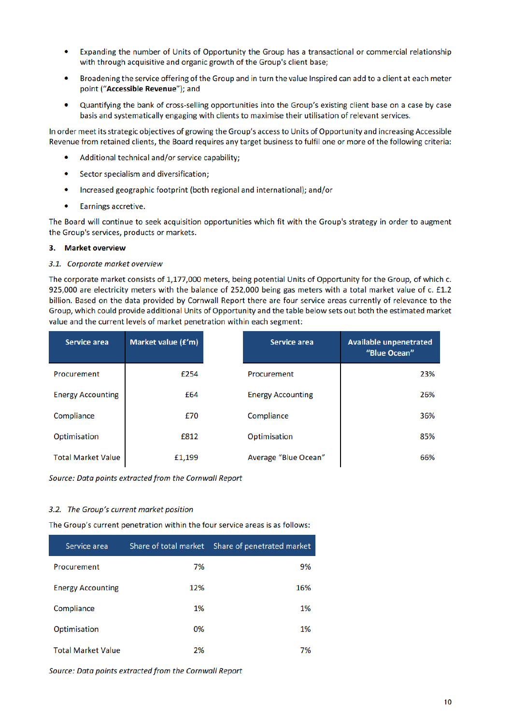- $\bullet$ Expanding the number of Units of Opportunity the Group has a transactional or commercial relationship with through acquisitive and organic growth of the Group's client base;
- Broadening the service offering of the Group and in turn the value Inspired can add to a client at each meter  $\bullet$ point ("Accessible Revenue"); and
- Quantifying the bank of cross-selling opportunities into the Group's existing client base on a case by case  $\bullet$ basis and systematically engaging with clients to maximise their utilisation of relevant services.

In order meet its strategic objectives of growing the Group's access to Units of Opportunity and increasing Accessible Revenue from retained clients, the Board requires any target business to fulfil one or more of the following criteria:

- Additional technical and/or service capability;
- $\bullet$ Sector specialism and diversification;
- $\bullet$ Increased geographic footprint (both regional and international); and/or
- $\bullet$ Earnings accretive.

The Board will continue to seek acquisition opportunities which fit with the Group's strategy in order to augment the Group's services, products or markets.

#### 3. Market overview

#### 3.1. Corporate market overview

The corporate market consists of 1,177,000 meters, being potential Units of Opportunity for the Group, of which c. 925,000 are electricity meters with the balance of 252,000 being gas meters with a total market value of c. £1.2 billion. Based on the data provided by Cornwall Report there are four service areas currently of relevance to the Group, which could provide additional Units of Opportunity and the table below sets out both the estimated market value and the current levels of market penetration within each segment:

| Service area              | Market value (£'m) | Service area             | <b>Available unpenetrated</b><br>"Blue Ocean" |
|---------------------------|--------------------|--------------------------|-----------------------------------------------|
| Procurement               | £254               | Procurement              | 23%                                           |
| <b>Energy Accounting</b>  | £64                | <b>Energy Accounting</b> | 26%                                           |
| Compliance                | £70                | Compliance               | 36%                                           |
| Optimisation              | £812               | Optimisation             | 85%                                           |
| <b>Total Market Value</b> | £1,199             | Average "Blue Ocean"     | 66%                                           |

Source: Data points extracted from the Cornwall Report

#### 3.2. The Group's current market position

The Group's current penetration within the four service areas is as follows:

| Service area              | Share of total market | Share of penetrated market |
|---------------------------|-----------------------|----------------------------|
| Procurement               | 7%                    | 9%                         |
| <b>Energy Accounting</b>  | 12%                   | 16%                        |
| Compliance                | 1%                    | 1%                         |
| Optimisation              | 0%                    | 1%                         |
| <b>Total Market Value</b> | 2%                    | 7%                         |

Source: Data points extracted from the Cornwall Report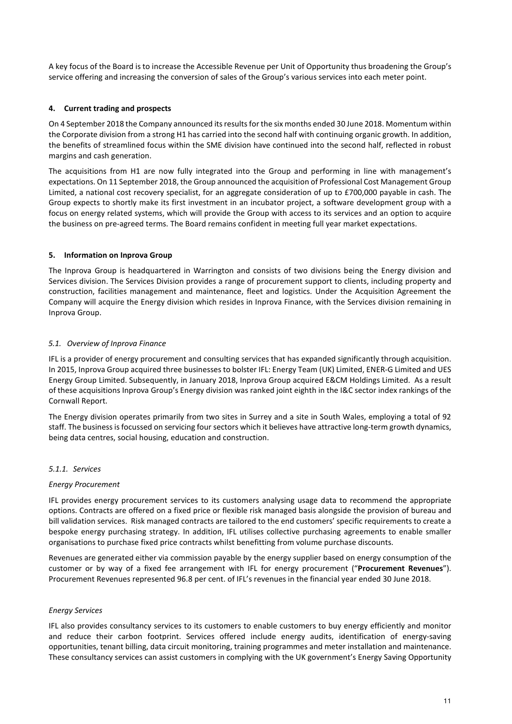A key focus of the Board is to increase the Accessible Revenue per Unit of Opportunity thus broadening the Group's service offering and increasing the conversion of sales of the Group's various services into each meter point.

# 4. Current trading and prospects

On 4 September 2018 the Company announced its results for the six months ended 30 June 2018. Momentum within the Corporate division from a strong H1 has carried into the second half with continuing organic growth. In addition, the benefits of streamlined focus within the SME division have continued into the second half, reflected in robust margins and cash generation.

The acquisitions from H1 are now fully integrated into the Group and performing in line with management's expectations. On 11 September 2018, the Group announced the acquisition of Professional Cost Management Group Limited, a national cost recovery specialist, for an aggregate consideration of up to £700,000 payable in cash. The Group expects to shortly make its first investment in an incubator project, a software development group with a focus on energy related systems, which will provide the Group with access to its services and an option to acquire the business on pre-agreed terms. The Board remains confident in meeting full year market expectations.

## 5. Information on Inprova Group

The Inprova Group is headquartered in Warrington and consists of two divisions being the Energy division and Services division. The Services Division provides a range of procurement support to clients, including property and construction, facilities management and maintenance, fleet and logistics. Under the Acquisition Agreement the Company will acquire the Energy division which resides in Inprova Finance, with the Services division remaining in Inprova Group.

## 5.1. Overview of Inprova Finance

IFL is a provider of energy procurement and consulting services that has expanded significantly through acquisition. In 2015, Inprova Group acquired three businesses to bolster IFL: Energy Team (UK) Limited, ENER-G Limited and UES Energy Group Limited. Subsequently, in January 2018, Inprova Group acquired E&CM Holdings Limited. As a result of these acquisitions Inprova Group's Energy division was ranked joint eighth in the I&C sector index rankings of the Cornwall Report.

The Energy division operates primarily from two sites in Surrey and a site in South Wales, employing a total of 92 staff. The business is focussed on servicing four sectors which it believes have attractive long-term growth dynamics, being data centres, social housing, education and construction.

# 5.1.1. Services

#### Energy Procurement

IFL provides energy procurement services to its customers analysing usage data to recommend the appropriate options. Contracts are offered on a fixed price or flexible risk managed basis alongside the provision of bureau and bill validation services. Risk managed contracts are tailored to the end customers' specific requirements to create a bespoke energy purchasing strategy. In addition, IFL utilises collective purchasing agreements to enable smaller organisations to purchase fixed price contracts whilst benefitting from volume purchase discounts.

Revenues are generated either via commission payable by the energy supplier based on energy consumption of the customer or by way of a fixed fee arrangement with IFL for energy procurement ("Procurement Revenues"). Procurement Revenues represented 96.8 per cent. of IFL's revenues in the financial year ended 30 June 2018.

#### Energy Services

IFL also provides consultancy services to its customers to enable customers to buy energy efficiently and monitor and reduce their carbon footprint. Services offered include energy audits, identification of energy-saving opportunities, tenant billing, data circuit monitoring, training programmes and meter installation and maintenance. These consultancy services can assist customers in complying with the UK government's Energy Saving Opportunity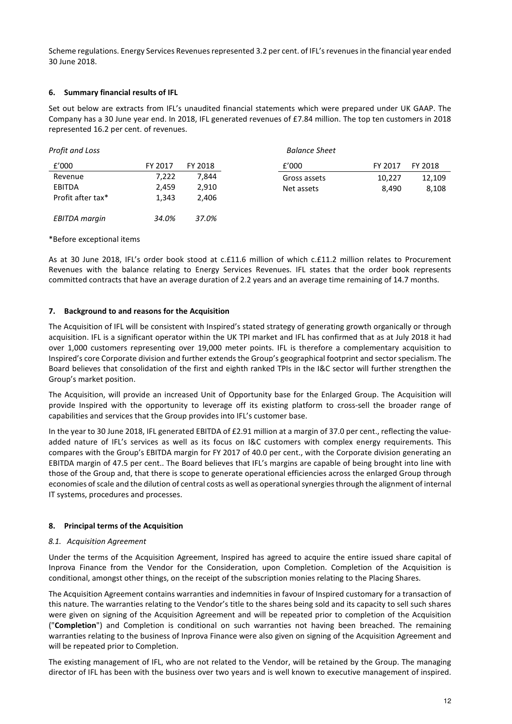Scheme regulations. Energy Services Revenues represented 3.2 per cent. of IFL's revenues in the financial year ended 30 June 2018.

#### 6. Summary financial results of IFL

Set out below are extracts from IFL's unaudited financial statements which were prepared under UK GAAP. The Company has a 30 June year end. In 2018, IFL generated revenues of £7.84 million. The top ten customers in 2018 represented 16.2 per cent. of revenues.

| Profit and Loss      |         |         | <b>Balance Sheet</b> |         |         |
|----------------------|---------|---------|----------------------|---------|---------|
| f'000                | FY 2017 | FY 2018 | f'000                | FY 2017 | FY 2018 |
| Revenue              | 7,222   | 7,844   | Gross assets         | 10,227  | 12,109  |
| <b>EBITDA</b>        | 2,459   | 2,910   | Net assets           | 8,490   | 8,108   |
| Profit after tax*    | 1,343   | 2.406   |                      |         |         |
| <b>EBITDA</b> margin | 34.0%   | 37.0%   |                      |         |         |

#### \*Before exceptional items

As at 30 June 2018, IFL's order book stood at c.£11.6 million of which c.£11.2 million relates to Procurement Revenues with the balance relating to Energy Services Revenues. IFL states that the order book represents committed contracts that have an average duration of 2.2 years and an average time remaining of 14.7 months.

#### 7. Background to and reasons for the Acquisition

The Acquisition of IFL will be consistent with Inspired's stated strategy of generating growth organically or through acquisition. IFL is a significant operator within the UK TPI market and IFL has confirmed that as at July 2018 it had over 1,000 customers representing over 19,000 meter points. IFL is therefore a complementary acquisition to Inspired's core Corporate division and further extends the Group's geographical footprint and sector specialism. The Board believes that consolidation of the first and eighth ranked TPIs in the I&C sector will further strengthen the Group's market position.

The Acquisition, will provide an increased Unit of Opportunity base for the Enlarged Group. The Acquisition will provide Inspired with the opportunity to leverage off its existing platform to cross-sell the broader range of capabilities and services that the Group provides into IFL's customer base.

In the year to 30 June 2018, IFL generated EBITDA of £2.91 million at a margin of 37.0 per cent., reflecting the valueadded nature of IFL's services as well as its focus on I&C customers with complex energy requirements. This compares with the Group's EBITDA margin for FY 2017 of 40.0 per cent., with the Corporate division generating an EBITDA margin of 47.5 per cent.. The Board believes that IFL's margins are capable of being brought into line with those of the Group and, that there is scope to generate operational efficiencies across the enlarged Group through economies of scale and the dilution of central costs as well as operational synergies through the alignment of internal IT systems, procedures and processes.

# 8. Principal terms of the Acquisition

#### 8.1. Acquisition Agreement

Under the terms of the Acquisition Agreement, Inspired has agreed to acquire the entire issued share capital of Inprova Finance from the Vendor for the Consideration, upon Completion. Completion of the Acquisition is conditional, amongst other things, on the receipt of the subscription monies relating to the Placing Shares.

The Acquisition Agreement contains warranties and indemnities in favour of Inspired customary for a transaction of this nature. The warranties relating to the Vendor's title to the shares being sold and its capacity to sell such shares were given on signing of the Acquisition Agreement and will be repeated prior to completion of the Acquisition ("Completion") and Completion is conditional on such warranties not having been breached. The remaining warranties relating to the business of Inprova Finance were also given on signing of the Acquisition Agreement and will be repeated prior to Completion.

The existing management of IFL, who are not related to the Vendor, will be retained by the Group. The managing director of IFL has been with the business over two years and is well known to executive management of inspired.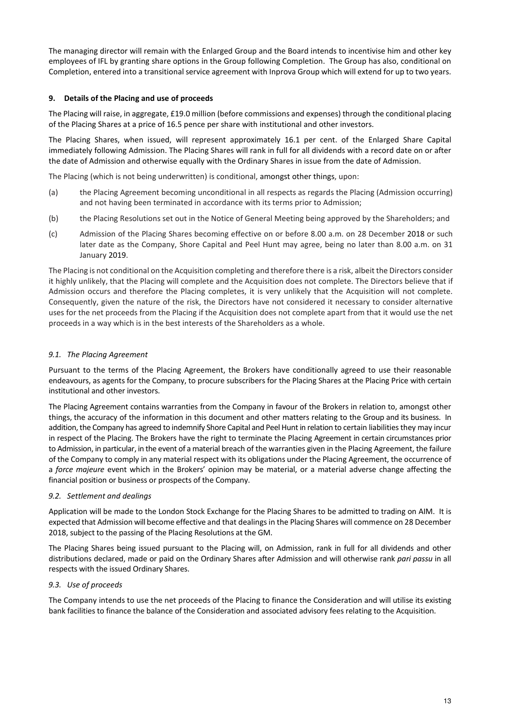The managing director will remain with the Enlarged Group and the Board intends to incentivise him and other key employees of IFL by granting share options in the Group following Completion. The Group has also, conditional on Completion, entered into a transitional service agreement with Inprova Group which will extend for up to two years.

## 9. Details of the Placing and use of proceeds

The Placing will raise, in aggregate, £19.0 million (before commissions and expenses) through the conditional placing of the Placing Shares at a price of 16.5 pence per share with institutional and other investors.

The Placing Shares, when issued, will represent approximately 16.1 per cent. of the Enlarged Share Capital immediately following Admission. The Placing Shares will rank in full for all dividends with a record date on or after the date of Admission and otherwise equally with the Ordinary Shares in issue from the date of Admission.

The Placing (which is not being underwritten) is conditional, amongst other things, upon:

- (a) the Placing Agreement becoming unconditional in all respects as regards the Placing (Admission occurring) and not having been terminated in accordance with its terms prior to Admission;
- (b) the Placing Resolutions set out in the Notice of General Meeting being approved by the Shareholders; and
- (c) Admission of the Placing Shares becoming effective on or before 8.00 a.m. on 28 December 2018 or such later date as the Company, Shore Capital and Peel Hunt may agree, being no later than 8.00 a.m. on 31 January 2019.

The Placing is not conditional on the Acquisition completing and therefore there is a risk, albeit the Directors consider it highly unlikely, that the Placing will complete and the Acquisition does not complete. The Directors believe that if Admission occurs and therefore the Placing completes, it is very unlikely that the Acquisition will not complete. Consequently, given the nature of the risk, the Directors have not considered it necessary to consider alternative uses for the net proceeds from the Placing if the Acquisition does not complete apart from that it would use the net proceeds in a way which is in the best interests of the Shareholders as a whole.

## 9.1. The Placing Agreement

Pursuant to the terms of the Placing Agreement, the Brokers have conditionally agreed to use their reasonable endeavours, as agents for the Company, to procure subscribers for the Placing Shares at the Placing Price with certain institutional and other investors.

The Placing Agreement contains warranties from the Company in favour of the Brokers in relation to, amongst other things, the accuracy of the information in this document and other matters relating to the Group and its business. In addition, the Company has agreed to indemnify Shore Capital and Peel Hunt in relation to certain liabilities they may incur in respect of the Placing. The Brokers have the right to terminate the Placing Agreement in certain circumstances prior to Admission, in particular, in the event of a material breach of the warranties given in the Placing Agreement, the failure of the Company to comply in any material respect with its obligations under the Placing Agreement, the occurrence of a force majeure event which in the Brokers' opinion may be material, or a material adverse change affecting the financial position or business or prospects of the Company.

#### 9.2. Settlement and dealings

Application will be made to the London Stock Exchange for the Placing Shares to be admitted to trading on AIM. It is expected that Admission will become effective and that dealings in the Placing Shares will commence on 28 December 2018, subject to the passing of the Placing Resolutions at the GM.

The Placing Shares being issued pursuant to the Placing will, on Admission, rank in full for all dividends and other distributions declared, made or paid on the Ordinary Shares after Admission and will otherwise rank pari passu in all respects with the issued Ordinary Shares.

#### 9.3. Use of proceeds

The Company intends to use the net proceeds of the Placing to finance the Consideration and will utilise its existing bank facilities to finance the balance of the Consideration and associated advisory fees relating to the Acquisition.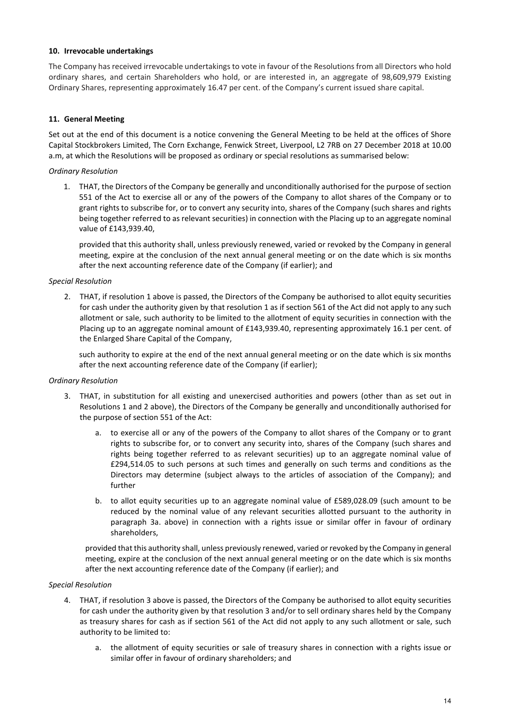#### 10. Irrevocable undertakings

The Company has received irrevocable undertakings to vote in favour of the Resolutions from all Directors who hold ordinary shares, and certain Shareholders who hold, or are interested in, an aggregate of 98,609,979 Existing Ordinary Shares, representing approximately 16.47 per cent. of the Company's current issued share capital.

# 11. General Meeting

Set out at the end of this document is a notice convening the General Meeting to be held at the offices of Shore Capital Stockbrokers Limited, The Corn Exchange, Fenwick Street, Liverpool, L2 7RB on 27 December 2018 at 10.00 a.m, at which the Resolutions will be proposed as ordinary or special resolutions as summarised below:

## Ordinary Resolution

1. THAT, the Directors of the Company be generally and unconditionally authorised for the purpose of section 551 of the Act to exercise all or any of the powers of the Company to allot shares of the Company or to grant rights to subscribe for, or to convert any security into, shares of the Company (such shares and rights being together referred to as relevant securities) in connection with the Placing up to an aggregate nominal value of £143,939.40,

provided that this authority shall, unless previously renewed, varied or revoked by the Company in general meeting, expire at the conclusion of the next annual general meeting or on the date which is six months after the next accounting reference date of the Company (if earlier); and

#### Special Resolution

2. THAT, if resolution 1 above is passed, the Directors of the Company be authorised to allot equity securities for cash under the authority given by that resolution 1 as if section 561 of the Act did not apply to any such allotment or sale, such authority to be limited to the allotment of equity securities in connection with the Placing up to an aggregate nominal amount of £143,939.40, representing approximately 16.1 per cent. of the Enlarged Share Capital of the Company,

such authority to expire at the end of the next annual general meeting or on the date which is six months after the next accounting reference date of the Company (if earlier);

#### Ordinary Resolution

- 3. THAT, in substitution for all existing and unexercised authorities and powers (other than as set out in Resolutions 1 and 2 above), the Directors of the Company be generally and unconditionally authorised for the purpose of section 551 of the Act:
	- a. to exercise all or any of the powers of the Company to allot shares of the Company or to grant rights to subscribe for, or to convert any security into, shares of the Company (such shares and rights being together referred to as relevant securities) up to an aggregate nominal value of £294,514.05 to such persons at such times and generally on such terms and conditions as the Directors may determine (subject always to the articles of association of the Company); and further
	- b. to allot equity securities up to an aggregate nominal value of £589,028.09 (such amount to be reduced by the nominal value of any relevant securities allotted pursuant to the authority in paragraph 3a. above) in connection with a rights issue or similar offer in favour of ordinary shareholders,

provided that this authority shall, unless previously renewed, varied or revoked by the Company in general meeting, expire at the conclusion of the next annual general meeting or on the date which is six months after the next accounting reference date of the Company (if earlier); and

#### Special Resolution

- 4. THAT, if resolution 3 above is passed, the Directors of the Company be authorised to allot equity securities for cash under the authority given by that resolution 3 and/or to sell ordinary shares held by the Company as treasury shares for cash as if section 561 of the Act did not apply to any such allotment or sale, such authority to be limited to:
	- a. the allotment of equity securities or sale of treasury shares in connection with a rights issue or similar offer in favour of ordinary shareholders; and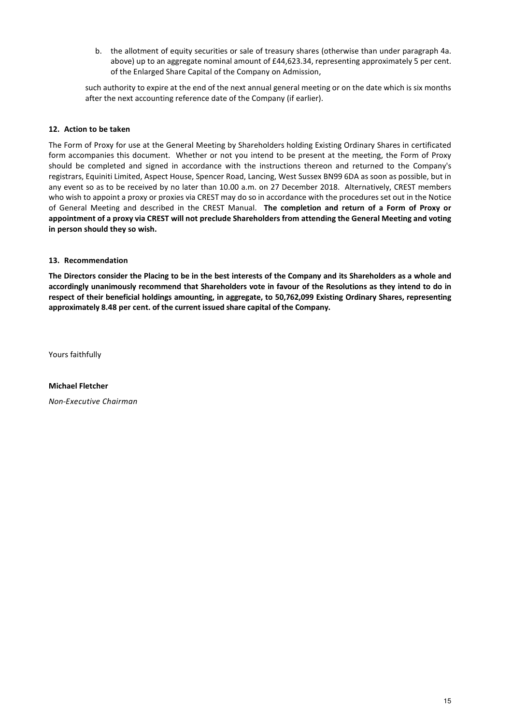b. the allotment of equity securities or sale of treasury shares (otherwise than under paragraph 4a. above) up to an aggregate nominal amount of £44,623.34, representing approximately 5 per cent. of the Enlarged Share Capital of the Company on Admission,

such authority to expire at the end of the next annual general meeting or on the date which is six months after the next accounting reference date of the Company (if earlier).

#### 12. Action to be taken

The Form of Proxy for use at the General Meeting by Shareholders holding Existing Ordinary Shares in certificated form accompanies this document. Whether or not you intend to be present at the meeting, the Form of Proxy should be completed and signed in accordance with the instructions thereon and returned to the Company's registrars, Equiniti Limited, Aspect House, Spencer Road, Lancing, West Sussex BN99 6DA as soon as possible, but in any event so as to be received by no later than 10.00 a.m. on 27 December 2018. Alternatively, CREST members who wish to appoint a proxy or proxies via CREST may do so in accordance with the procedures set out in the Notice of General Meeting and described in the CREST Manual. The completion and return of a Form of Proxy or appointment of a proxy via CREST will not preclude Shareholders from attending the General Meeting and voting in person should they so wish.

#### 13. Recommendation

The Directors consider the Placing to be in the best interests of the Company and its Shareholders as a whole and accordingly unanimously recommend that Shareholders vote in favour of the Resolutions as they intend to do in respect of their beneficial holdings amounting, in aggregate, to 50,762,099 Existing Ordinary Shares, representing approximately 8.48 per cent. of the current issued share capital of the Company.

Yours faithfully

Michael Fletcher Non-Executive Chairman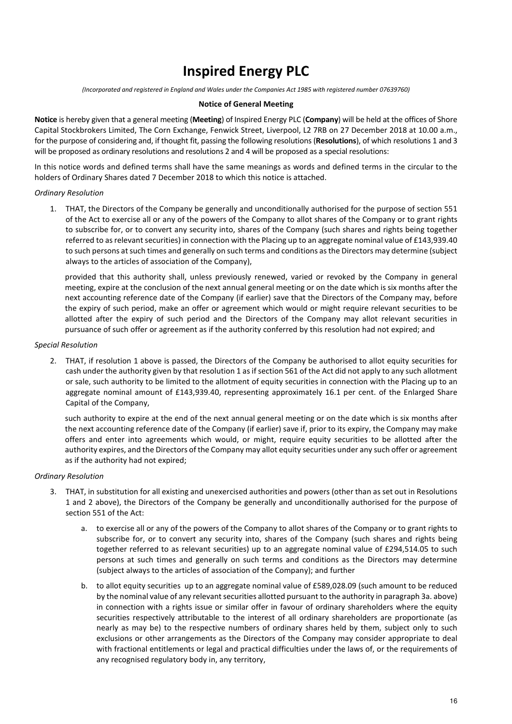# Inspired Energy PLC

(Incorporated and registered in England and Wales under the Companies Act 1985 with registered number 07639760)

#### Notice of General Meeting

Notice is hereby given that a general meeting (Meeting) of Inspired Energy PLC (Company) will be held at the offices of Shore Capital Stockbrokers Limited, The Corn Exchange, Fenwick Street, Liverpool, L2 7RB on 27 December 2018 at 10.00 a.m., for the purpose of considering and, if thought fit, passing the following resolutions (Resolutions), of which resolutions 1 and 3 will be proposed as ordinary resolutions and resolutions 2 and 4 will be proposed as a special resolutions:

In this notice words and defined terms shall have the same meanings as words and defined terms in the circular to the holders of Ordinary Shares dated 7 December 2018 to which this notice is attached.

#### Ordinary Resolution

1. THAT, the Directors of the Company be generally and unconditionally authorised for the purpose of section 551 of the Act to exercise all or any of the powers of the Company to allot shares of the Company or to grant rights to subscribe for, or to convert any security into, shares of the Company (such shares and rights being together referred to as relevant securities) in connection with the Placing up to an aggregate nominal value of £143,939.40 to such persons at such times and generally on such terms and conditions as the Directors may determine (subject always to the articles of association of the Company),

provided that this authority shall, unless previously renewed, varied or revoked by the Company in general meeting, expire at the conclusion of the next annual general meeting or on the date which is six months after the next accounting reference date of the Company (if earlier) save that the Directors of the Company may, before the expiry of such period, make an offer or agreement which would or might require relevant securities to be allotted after the expiry of such period and the Directors of the Company may allot relevant securities in pursuance of such offer or agreement as if the authority conferred by this resolution had not expired; and

#### Special Resolution

2. THAT, if resolution 1 above is passed, the Directors of the Company be authorised to allot equity securities for cash under the authority given by that resolution 1 as if section 561 of the Act did not apply to any such allotment or sale, such authority to be limited to the allotment of equity securities in connection with the Placing up to an aggregate nominal amount of £143,939.40, representing approximately 16.1 per cent. of the Enlarged Share Capital of the Company,

such authority to expire at the end of the next annual general meeting or on the date which is six months after the next accounting reference date of the Company (if earlier) save if, prior to its expiry, the Company may make offers and enter into agreements which would, or might, require equity securities to be allotted after the authority expires, and the Directors of the Company may allot equity securities under any such offer or agreement as if the authority had not expired;

#### Ordinary Resolution

- 3. THAT, in substitution for all existing and unexercised authorities and powers (other than as set out in Resolutions 1 and 2 above), the Directors of the Company be generally and unconditionally authorised for the purpose of section 551 of the Act:
	- a. to exercise all or any of the powers of the Company to allot shares of the Company or to grant rights to subscribe for, or to convert any security into, shares of the Company (such shares and rights being together referred to as relevant securities) up to an aggregate nominal value of £294,514.05 to such persons at such times and generally on such terms and conditions as the Directors may determine (subject always to the articles of association of the Company); and further
	- b. to allot equity securities up to an aggregate nominal value of £589,028.09 (such amount to be reduced by the nominal value of any relevant securities allotted pursuant to the authority in paragraph 3a. above) in connection with a rights issue or similar offer in favour of ordinary shareholders where the equity securities respectively attributable to the interest of all ordinary shareholders are proportionate (as nearly as may be) to the respective numbers of ordinary shares held by them, subject only to such exclusions or other arrangements as the Directors of the Company may consider appropriate to deal with fractional entitlements or legal and practical difficulties under the laws of, or the requirements of any recognised regulatory body in, any territory,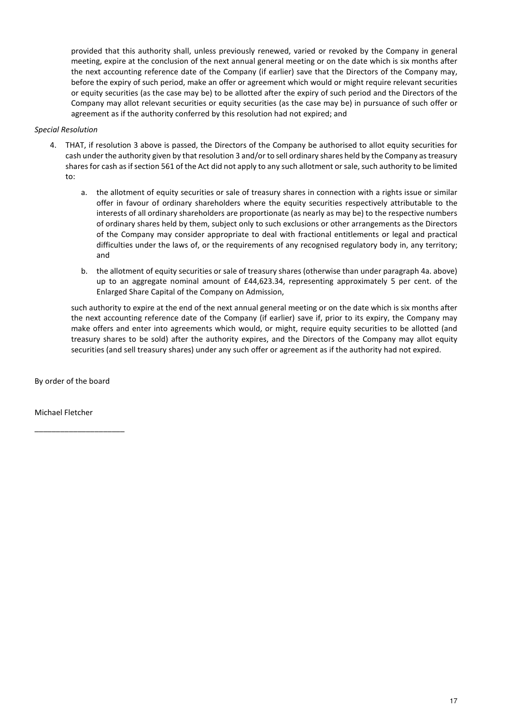provided that this authority shall, unless previously renewed, varied or revoked by the Company in general meeting, expire at the conclusion of the next annual general meeting or on the date which is six months after the next accounting reference date of the Company (if earlier) save that the Directors of the Company may, before the expiry of such period, make an offer or agreement which would or might require relevant securities or equity securities (as the case may be) to be allotted after the expiry of such period and the Directors of the Company may allot relevant securities or equity securities (as the case may be) in pursuance of such offer or agreement as if the authority conferred by this resolution had not expired; and

## Special Resolution

- 4. THAT, if resolution 3 above is passed, the Directors of the Company be authorised to allot equity securities for cash under the authority given by that resolution 3 and/or to sell ordinary shares held by the Company as treasury shares for cash as if section 561 of the Act did not apply to any such allotment or sale, such authority to be limited to:
	- a. the allotment of equity securities or sale of treasury shares in connection with a rights issue or similar offer in favour of ordinary shareholders where the equity securities respectively attributable to the interests of all ordinary shareholders are proportionate (as nearly as may be) to the respective numbers of ordinary shares held by them, subject only to such exclusions or other arrangements as the Directors of the Company may consider appropriate to deal with fractional entitlements or legal and practical difficulties under the laws of, or the requirements of any recognised regulatory body in, any territory; and
	- b. the allotment of equity securities or sale of treasury shares (otherwise than under paragraph 4a. above) up to an aggregate nominal amount of £44,623.34, representing approximately 5 per cent. of the Enlarged Share Capital of the Company on Admission,

such authority to expire at the end of the next annual general meeting or on the date which is six months after the next accounting reference date of the Company (if earlier) save if, prior to its expiry, the Company may make offers and enter into agreements which would, or might, require equity securities to be allotted (and treasury shares to be sold) after the authority expires, and the Directors of the Company may allot equity securities (and sell treasury shares) under any such offer or agreement as if the authority had not expired.

By order of the board

\_\_\_\_\_\_\_\_\_\_\_\_\_\_\_\_\_\_\_\_\_

Michael Fletcher